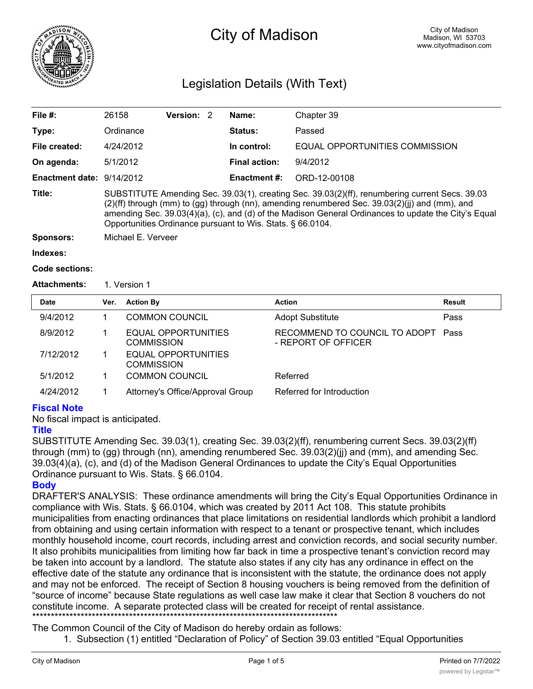

# City of Madison

# Legislation Details (With Text)

| File $#$ :                | 26158                                                                                                                                                                                                                                                                                                                                                                  | <b>Version: 2</b> |  | Name:                | Chapter 39                     |  |
|---------------------------|------------------------------------------------------------------------------------------------------------------------------------------------------------------------------------------------------------------------------------------------------------------------------------------------------------------------------------------------------------------------|-------------------|--|----------------------|--------------------------------|--|
| Type:                     | Ordinance                                                                                                                                                                                                                                                                                                                                                              |                   |  | Status:              | Passed                         |  |
| File created:             | 4/24/2012                                                                                                                                                                                                                                                                                                                                                              |                   |  | In control:          | EQUAL OPPORTUNITIES COMMISSION |  |
| On agenda:                | 5/1/2012                                                                                                                                                                                                                                                                                                                                                               |                   |  | <b>Final action:</b> | 9/4/2012                       |  |
| Enactment date: 9/14/2012 |                                                                                                                                                                                                                                                                                                                                                                        |                   |  | <b>Enactment #:</b>  | ORD-12-00108                   |  |
| Title:                    | SUBSTITUTE Amending Sec. 39.03(1), creating Sec. 39.03(2)(ff), renumbering current Secs. 39.03<br>(2)(ff) through (mm) to (gg) through (nn), amending renumbered Sec. 39.03(2)(jj) and (mm), and<br>amending Sec. 39.03(4)(a), (c), and (d) of the Madison General Ordinances to update the City's Equal<br>Opportunities Ordinance pursuant to Wis. Stats. § 66.0104. |                   |  |                      |                                |  |
| <b>Sponsors:</b>          | Michael E. Verveer                                                                                                                                                                                                                                                                                                                                                     |                   |  |                      |                                |  |
| Indexes:                  |                                                                                                                                                                                                                                                                                                                                                                        |                   |  |                      |                                |  |

```
Code sections:
```
**Attachments:** 1. Version 1

| <b>Date</b> | Ver. | <b>Action By</b>                         | <b>Action</b>                                        | Result |
|-------------|------|------------------------------------------|------------------------------------------------------|--------|
| 9/4/2012    |      | <b>COMMON COUNCIL</b>                    | <b>Adopt Substitute</b>                              | Pass   |
| 8/9/2012    |      | EQUAL OPPORTUNITIES<br><b>COMMISSION</b> | RECOMMEND TO COUNCIL TO ADOPT<br>- REPORT OF OFFICER | Pass   |
| 7/12/2012   |      | EQUAL OPPORTUNITIES<br><b>COMMISSION</b> |                                                      |        |
| 5/1/2012    |      | <b>COMMON COUNCIL</b>                    | Referred                                             |        |
| 4/24/2012   |      | Attorney's Office/Approval Group         | Referred for Introduction                            |        |

## **Fiscal Note**

No fiscal impact is anticipated.

#### **Title**

SUBSTITUTE Amending Sec. 39.03(1), creating Sec. 39.03(2)(ff), renumbering current Secs. 39.03(2)(ff) through (mm) to (gg) through (nn), amending renumbered Sec. 39.03(2)(jj) and (mm), and amending Sec. 39.03(4)(a), (c), and (d) of the Madison General Ordinances to update the City's Equal Opportunities Ordinance pursuant to Wis. Stats. § 66.0104.

## **Body**

DRAFTER'S ANALYSIS: These ordinance amendments will bring the City's Equal Opportunities Ordinance in compliance with Wis. Stats. § 66.0104, which was created by 2011 Act 108. This statute prohibits municipalities from enacting ordinances that place limitations on residential landlords which prohibit a landlord from obtaining and using certain information with respect to a tenant or prospective tenant, which includes monthly household income, court records, including arrest and conviction records, and social security number. It also prohibits municipalities from limiting how far back in time a prospective tenant's conviction record may be taken into account by a landlord. The statute also states if any city has any ordinance in effect on the effective date of the statute any ordinance that is inconsistent with the statute, the ordinance does not apply and may not be enforced. The receipt of Section 8 housing vouchers is being removed from the definition of "source of income" because State regulations as well case law make it clear that Section 8 vouchers do not constitute income. A separate protected class will be created for receipt of rental assistance. \*\*\*\*\*\*\*\*\*\*\*\*\*\*\*\*\*\*\*\*\*\*\*\*\*\*\*\*\*\*\*\*\*\*\*\*\*\*\*\*\*\*\*\*\*\*\*\*\*\*\*\*\*\*\*\*\*\*\*\*\*\*\*\*\*\*\*\*\*\*\*\*\*\*\*\*\*\*\*\*\*\*

The Common Council of the City of Madison do hereby ordain as follows:

1. Subsection (1) entitled "Declaration of Policy" of Section 39.03 entitled "Equal Opportunities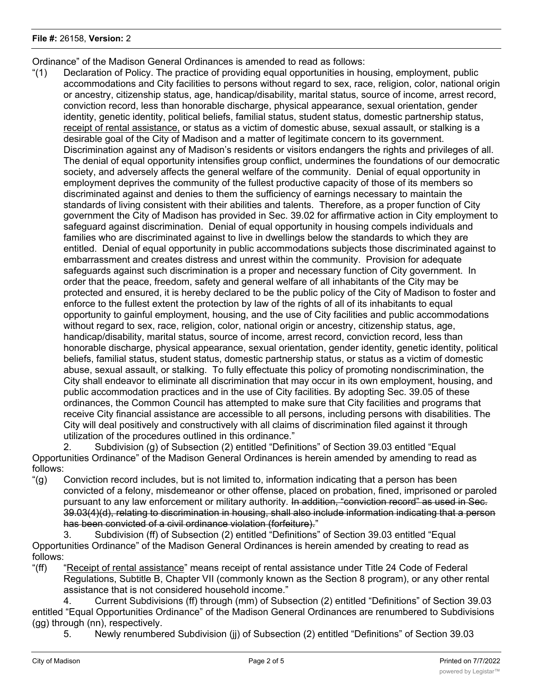#### **File #:** 26158, **Version:** 2

Ordinance" of the Madison General Ordinances is amended to read as follows:

"(1) Declaration of Policy. The practice of providing equal opportunities in housing, employment, public accommodations and City facilities to persons without regard to sex, race, religion, color, national origin or ancestry, citizenship status, age, handicap/disability, marital status, source of income, arrest record, conviction record, less than honorable discharge, physical appearance, sexual orientation, gender identity, genetic identity, political beliefs, familial status, student status, domestic partnership status, receipt of rental assistance, or status as a victim of domestic abuse, sexual assault, or stalking is a desirable goal of the City of Madison and a matter of legitimate concern to its government. Discrimination against any of Madison's residents or visitors endangers the rights and privileges of all. The denial of equal opportunity intensifies group conflict, undermines the foundations of our democratic society, and adversely affects the general welfare of the community. Denial of equal opportunity in employment deprives the community of the fullest productive capacity of those of its members so discriminated against and denies to them the sufficiency of earnings necessary to maintain the standards of living consistent with their abilities and talents. Therefore, as a proper function of City government the City of Madison has provided in Sec. 39.02 for affirmative action in City employment to safeguard against discrimination. Denial of equal opportunity in housing compels individuals and families who are discriminated against to live in dwellings below the standards to which they are entitled. Denial of equal opportunity in public accommodations subjects those discriminated against to embarrassment and creates distress and unrest within the community. Provision for adequate safeguards against such discrimination is a proper and necessary function of City government. In order that the peace, freedom, safety and general welfare of all inhabitants of the City may be protected and ensured, it is hereby declared to be the public policy of the City of Madison to foster and enforce to the fullest extent the protection by law of the rights of all of its inhabitants to equal opportunity to gainful employment, housing, and the use of City facilities and public accommodations without regard to sex, race, religion, color, national origin or ancestry, citizenship status, age, handicap/disability, marital status, source of income, arrest record, conviction record, less than honorable discharge, physical appearance, sexual orientation, gender identity, genetic identity, political beliefs, familial status, student status, domestic partnership status, or status as a victim of domestic abuse, sexual assault, or stalking. To fully effectuate this policy of promoting nondiscrimination, the City shall endeavor to eliminate all discrimination that may occur in its own employment, housing, and public accommodation practices and in the use of City facilities. By adopting Sec. 39.05 of these ordinances, the Common Council has attempted to make sure that City facilities and programs that receive City financial assistance are accessible to all persons, including persons with disabilities. The City will deal positively and constructively with all claims of discrimination filed against it through utilization of the procedures outlined in this ordinance."

2. Subdivision (g) of Subsection (2) entitled "Definitions" of Section 39.03 entitled "Equal Opportunities Ordinance" of the Madison General Ordinances is herein amended by amending to read as follows:

"(g) Conviction record includes, but is not limited to, information indicating that a person has been convicted of a felony, misdemeanor or other offense, placed on probation, fined, imprisoned or paroled pursuant to any law enforcement or military authority. In addition, "conviction record" as used in Sec. 39.03(4)(d), relating to discrimination in housing, shall also include information indicating that a person has been convicted of a civil ordinance violation (forfeiture)."

3. Subdivision (ff) of Subsection (2) entitled "Definitions" of Section 39.03 entitled "Equal Opportunities Ordinance" of the Madison General Ordinances is herein amended by creating to read as follows:

"(ff) "Receipt of rental assistance" means receipt of rental assistance under Title 24 Code of Federal Regulations, Subtitle B, Chapter VII (commonly known as the Section 8 program), or any other rental assistance that is not considered household income."

4. Current Subdivisions (ff) through (mm) of Subsection (2) entitled "Definitions" of Section 39.03 entitled "Equal Opportunities Ordinance" of the Madison General Ordinances are renumbered to Subdivisions (gg) through (nn), respectively.

5. Newly renumbered Subdivision (jj) of Subsection (2) entitled "Definitions" of Section 39.03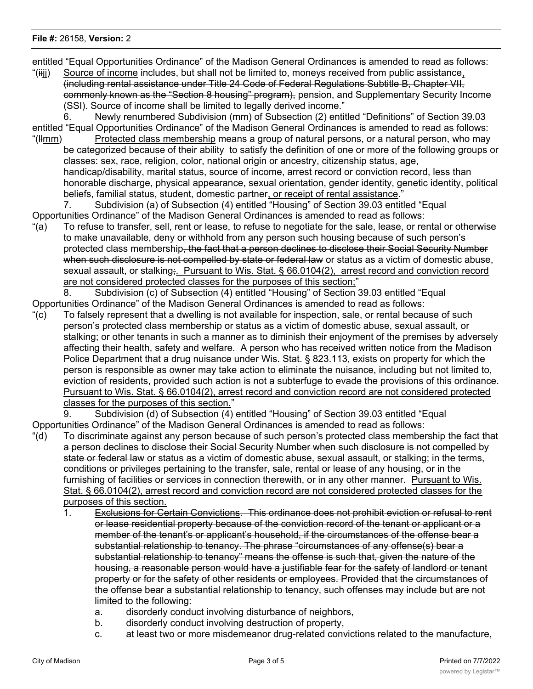entitled "Equal Opportunities Ordinance" of the Madison General Ordinances is amended to read as follows:

"(iij) Source of income includes, but shall not be limited to, moneys received from public assistance, (including rental assistance under Title 24 Code of Federal Regulations Subtitle B, Chapter VII, commonly known as the "Section 8 housing" program), pension, and Supplementary Security Income (SSI). Source of income shall be limited to legally derived income."

6. Newly renumbered Subdivision (mm) of Subsection (2) entitled "Definitions" of Section 39.03 entitled "Equal Opportunities Ordinance" of the Madison General Ordinances is amended to read as follows:

"(Hmm) Protected class membership means a group of natural persons, or a natural person, who may be categorized because of their ability to satisfy the definition of one or more of the following groups or classes: sex, race, religion, color, national origin or ancestry, citizenship status, age, handicap/disability, marital status, source of income, arrest record or conviction record, less than honorable discharge, physical appearance, sexual orientation, gender identity, genetic identity, political beliefs, familial status, student, domestic partner, or receipt of rental assistance."

7. Subdivision (a) of Subsection (4) entitled "Housing" of Section 39.03 entitled "Equal Opportunities Ordinance" of the Madison General Ordinances is amended to read as follows:

"(a) To refuse to transfer, sell, rent or lease, to refuse to negotiate for the sale, lease, or rental or otherwise to make unavailable, deny or withhold from any person such housing because of such person's protected class membership<del>, the fact that a person declines to disclose their Social Security Number</del> when such disclosure is not compelled by state or federal law or status as a victim of domestic abuse, sexual assault, or stalking; Pursuant to Wis. Stat. § 66.0104(2), arrest record and conviction record are not considered protected classes for the purposes of this section;"

8. Subdivision (c) of Subsection (4) entitled "Housing" of Section 39.03 entitled "Equal Opportunities Ordinance" of the Madison General Ordinances is amended to read as follows:

"(c) To falsely represent that a dwelling is not available for inspection, sale, or rental because of such person's protected class membership or status as a victim of domestic abuse, sexual assault, or stalking; or other tenants in such a manner as to diminish their enjoyment of the premises by adversely affecting their health, safety and welfare. A person who has received written notice from the Madison Police Department that a drug nuisance under Wis. Stat. § 823.113, exists on property for which the person is responsible as owner may take action to eliminate the nuisance, including but not limited to, eviction of residents, provided such action is not a subterfuge to evade the provisions of this ordinance. Pursuant to Wis. Stat. § 66.0104(2), arrest record and conviction record are not considered protected classes for the purposes of this section."

9. Subdivision (d) of Subsection (4) entitled "Housing" of Section 39.03 entitled "Equal Opportunities Ordinance" of the Madison General Ordinances is amended to read as follows:

- "(d) To discriminate against any person because of such person's protected class membership the fact that a person declines to disclose their Social Security Number when such disclosure is not compelled by state or federal law or status as a victim of domestic abuse, sexual assault, or stalking; in the terms, conditions or privileges pertaining to the transfer, sale, rental or lease of any housing, or in the furnishing of facilities or services in connection therewith, or in any other manner. Pursuant to Wis. Stat. § 66.0104(2), arrest record and conviction record are not considered protected classes for the purposes of this section.
	- 1. Exclusions for Certain Convictions. This ordinance does not prohibit eviction or refusal to rent or lease residential property because of the conviction record of the tenant or applicant or a member of the tenant's or applicant's household, if the circumstances of the offense bear a substantial relationship to tenancy. The phrase "circumstances of any offense(s) bear a substantial relationship to tenancy" means the offense is such that, given the nature of the housing, a reasonable person would have a justifiable fear for the safety of landlord or tenant property or for the safety of other residents or employees. Provided that the circumstances of the offense bear a substantial relationship to tenancy, such offenses may include but are not limited to the following:
		- a. disorderly conduct involving disturbance of neighbors,
		- b. disorderly conduct involving destruction of property,
		- c. at least two or more misdemeanor drug-related convictions related to the manufacture,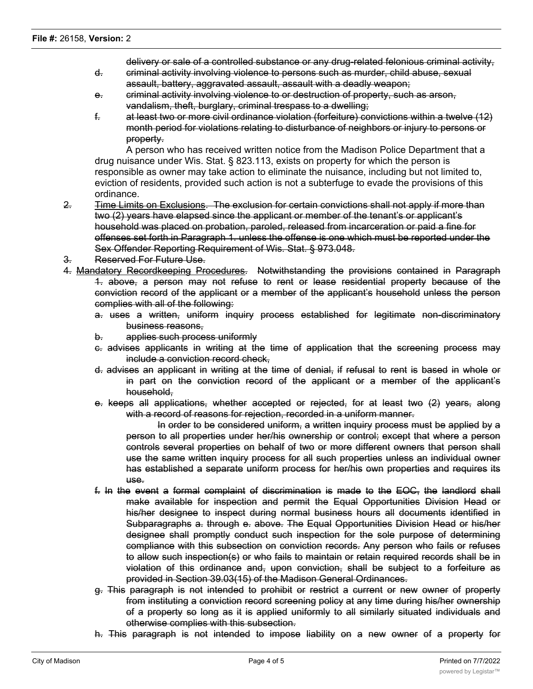delivery or sale of a controlled substance or any drug-related felonious criminal activity,

- d. criminal activity involving violence to persons such as murder, child abuse, sexual assault, battery, aggravated assault, assault with a deadly weapon;
- e. criminal activity involving violence to or destruction of property, such as arson, vandalism, theft, burglary, criminal trespass to a dwelling;
- f. at least two or more civil ordinance violation (forfeiture) convictions within a twelve (12) month period for violations relating to disturbance of neighbors or injury to persons or property.

A person who has received written notice from the Madison Police Department that a drug nuisance under Wis. Stat. § 823.113, exists on property for which the person is responsible as owner may take action to eliminate the nuisance, including but not limited to, eviction of residents, provided such action is not a subterfuge to evade the provisions of this ordinance.

- 2. Time Limits on Exclusions. The exclusion for certain convictions shall not apply if more than two (2) years have elapsed since the applicant or member of the tenant's or applicant's household was placed on probation, paroled, released from incarceration or paid a fine for offenses set forth in Paragraph 1. unless the offense is one which must be reported under the Sex Offender Reporting Requirement of Wis. Stat. § 973.048.
- 3. Reserved For Future Use.
- 4. Mandatory Recordkeeping Procedures. Notwithstanding the provisions contained in Paragraph 1. above, a person may not refuse to rent or lease residential property because of the
	- conviction record of the applicant or a member of the applicant's household unless the person complies with all of the following:
	- a. uses a written, uniform inquiry process established for legitimate non-discriminatory business reasons,
	- b. applies such process uniformly
	- c. advises applicants in writing at the time of application that the screening process may include a conviction record check,
	- d. advises an applicant in writing at the time of denial, if refusal to rent is based in whole or in part on the conviction record of the applicant or a member of the applicant's household,
	- e. keeps all applications, whether accepted or rejected, for at least two (2) years, along with a record of reasons for rejection, recorded in a uniform manner.

In order to be considered uniform, a written inquiry process must be applied by a person to all properties under her/his ownership or control; except that where a person controls several properties on behalf of two or more different owners that person shall use the same written inquiry process for all such properties unless an individual owner has established a separate uniform process for her/his own properties and requires its use.

- f. In the event a formal complaint of discrimination is made to the EOC, the landlord shall make available for inspection and permit the Equal Opportunities Division Head or his/her designee to inspect during normal business hours all documents identified in Subparagraphs a. through e. above. The Equal Opportunities Division Head or his/her designee shall promptly conduct such inspection for the sole purpose of determining compliance with this subsection on conviction records. Any person who fails or refuses to allow such inspection(s) or who fails to maintain or retain required records shall be in violation of this ordinance and, upon conviction, shall be subject to a forfeiture as provided in Section 39.03(15) of the Madison General Ordinances.
- g. This paragraph is not intended to prohibit or restrict a current or new owner of property from instituting a conviction record screening policy at any time during his/her ownership of a property so long as it is applied uniformly to all similarly situated individuals and otherwise complies with this subsection.
- h. This paragraph is not intended to impose liability on a new owner of a property for